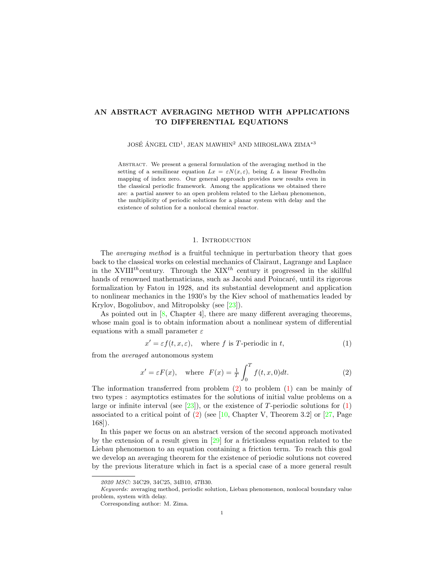# AN ABSTRACT AVERAGING METHOD WITH APPLICATIONS TO DIFFERENTIAL EQUATIONS

JOSÉ ÁNGEL CID<sup>1</sup>, JEAN MAWHIN<sup>2</sup> AND MIROSŁAWA ZIMA<sup>\*3</sup>

Abstract. We present a general formulation of the averaging method in the setting of a semilinear equation  $Lx = \varepsilon N(x, \varepsilon)$ , being L a linear Fredholm mapping of index zero. Our general approach provides new results even in the classical periodic framework. Among the applications we obtained there are: a partial answer to an open problem related to the Liebau phenomenon, the multiplicity of periodic solutions for a planar system with delay and the existence of solution for a nonlocal chemical reactor.

# 1. INTRODUCTION

The averaging method is a fruitful technique in perturbation theory that goes back to the classical works on celestial mechanics of Clairaut, Lagrange and Laplace in the XVIII<sup>th</sup>century. Through the  $XIX<sup>th</sup>$  century it progressed in the skillful hands of renowned mathematicians, such as Jacobi and Poincaré, until its rigorous formalization by Fatou in 1928, and its substantial development and application to nonlinear mechanics in the 1930's by the Kiev school of mathematics leaded by Krylov, Bogoliubov, and Mitropolsky (see [\[23\]](#page-15-0)).

As pointed out in  $[8, \text{ Chapter 4}]$  $[8, \text{ Chapter 4}]$ , there are many different averaging theorems, whose main goal is to obtain information about a nonlinear system of differential equations with a small parameter  $\varepsilon$ 

<span id="page-0-1"></span>
$$
x' = \varepsilon f(t, x, \varepsilon), \quad \text{where } f \text{ is } T\text{-periodic in } t,
$$
\n(1)

from the averaged autonomous system

<span id="page-0-0"></span>
$$
x' = \varepsilon F(x), \quad \text{where} \quad F(x) = \frac{1}{T} \int_0^T f(t, x, 0) dt. \tag{2}
$$

The information transferred from problem  $(2)$  to problem  $(1)$  can be mainly of two types : asymptotics estimates for the solutions of initial value problems on a large or infinite interval (see  $[23]$ ), or the existence of T-periodic solutions for  $(1)$ associated to a critical point of  $(2)$  (see [\[10,](#page-14-1) Chapter V, Theorem 3.2] or [\[27,](#page-15-1) Page 168]).

In this paper we focus on an abstract version of the second approach motivated by the extension of a result given in [\[29\]](#page-15-2) for a frictionless equation related to the Liebau phenomenon to an equation containing a friction term. To reach this goal we develop an averaging theorem for the existence of periodic solutions not covered by the previous literature which in fact is a special case of a more general result

<sup>2020</sup> MSC: 34C29, 34C25, 34B10, 47B30.

Keywords: averaging method, periodic solution, Liebau phenomenon, nonlocal boundary value problem, system with delay.

Corresponding author: M. Zima.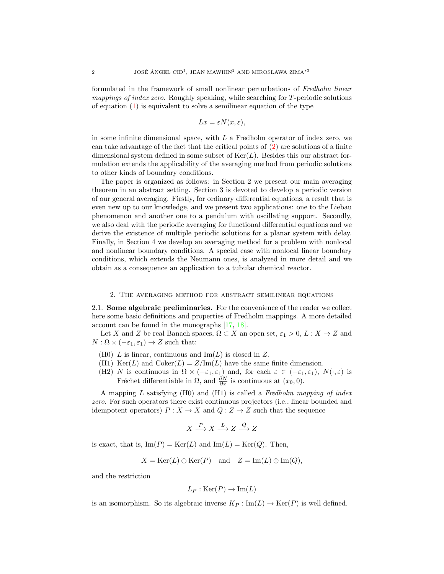formulated in the framework of small nonlinear perturbations of Fredholm linear mappings of index zero. Roughly speaking, while searching for T-periodic solutions of equation  $(1)$  is equivalent to solve a semilinear equation of the type

$$
Lx = \varepsilon N(x, \varepsilon),
$$

in some infinite dimensional space, with  $L$  a Fredholm operator of index zero, we can take advantage of the fact that the critical points of [\(2\)](#page-0-0) are solutions of a finite dimensional system defined in some subset of  $\text{Ker}(L)$ . Besides this our abstract formulation extends the applicability of the averaging method from periodic solutions to other kinds of boundary conditions.

The paper is organized as follows: in Section 2 we present our main averaging theorem in an abstract setting. Section 3 is devoted to develop a periodic version of our general averaging. Firstly, for ordinary differential equations, a result that is even new up to our knowledge, and we present two applications: one to the Liebau phenomenon and another one to a pendulum with oscillating support. Secondly, we also deal with the periodic averaging for functional differential equations and we derive the existence of multiple periodic solutions for a planar system with delay. Finally, in Section 4 we develop an averaging method for a problem with nonlocal and nonlinear boundary conditions. A special case with nonlocal linear boundary conditions, which extends the Neumann ones, is analyzed in more detail and we obtain as a consequence an application to a tubular chemical reactor.

#### 2. The averaging method for abstract semilinear equations

<span id="page-1-0"></span>2.1. Some algebraic preliminaries. For the convenience of the reader we collect here some basic definitions and properties of Fredholm mappings. A more detailed account can be found in the monographs [\[17,](#page-14-2) [18\]](#page-14-3).

Let X and Z be real Banach spaces,  $\Omega \subset X$  an open set,  $\varepsilon_1 > 0$ ,  $L : X \to Z$  and  $N : \Omega \times (-\varepsilon_1, \varepsilon_1) \to Z$  such that:

- (H0) L is linear, continuous and  $\text{Im}(L)$  is closed in Z.
- (H1) Ker(L) and Coker(L) =  $Z/\text{Im}(L)$  have the same finite dimension.
- (H2) N is continuous in  $\Omega \times (-\varepsilon_1, \varepsilon_1)$  and, for each  $\varepsilon \in (-\varepsilon_1, \varepsilon_1)$ ,  $N(\cdot, \varepsilon)$  is Fréchet differentiable in  $\Omega$ , and  $\frac{\partial N}{\partial x}$  is continuous at  $(x_0, 0)$ .

A mapping  $L$  satisfying (H0) and (H1) is called a Fredholm mapping of index zero. For such operators there exist continuous projectors (i.e., linear bounded and idempotent operators)  $P: X \to X$  and  $Q: Z \to Z$  such that the sequence

$$
X \xrightarrow{P} X \xrightarrow{L} Z \xrightarrow{Q} Z
$$

is exact, that is,  $\text{Im}(P) = \text{Ker}(L)$  and  $\text{Im}(L) = \text{Ker}(Q)$ . Then,

$$
X = \text{Ker}(L) \oplus \text{Ker}(P)
$$
 and  $Z = \text{Im}(L) \oplus \text{Im}(Q)$ ,

and the restriction

$$
L_P : \text{Ker}(P) \to \text{Im}(L)
$$

is an isomorphism. So its algebraic inverse  $K_P : \text{Im}(L) \to \text{Ker}(P)$  is well defined.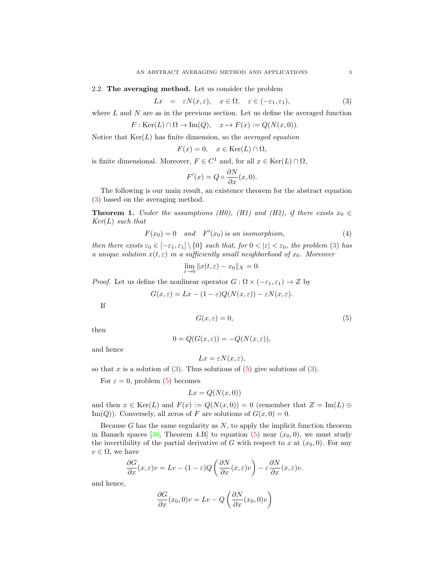# 2.2. The averaging method. Let us consider the problem

<span id="page-2-0"></span>
$$
Lx = \varepsilon N(x, \varepsilon), \quad x \in \Omega, \quad \varepsilon \in (-\varepsilon_1, \varepsilon_1), \tag{3}
$$

where  $L$  and  $N$  are as in the previous section. Let us define the averaged function

$$
F: \text{Ker}(L) \cap \Omega \to \text{Im}(Q), \quad x \mapsto F(x) := Q(N(x, 0)).
$$

Notice that  $\text{Ker}(L)$  has finite dimension, so the *averaged equation* 

$$
F(x) = 0, \quad x \in \text{Ker}(L) \cap \Omega,
$$

is finite dimensional. Moreover,  $F \in C^1$  and, for all  $x \in \text{Ker}(L) \cap \Omega$ ,

$$
F'(x) = Q \circ \frac{\partial N}{\partial x}(x, 0).
$$

The following is our main result, an existence theorem for the abstract equation [\(3\)](#page-2-0) based on the averaging method.

<span id="page-2-3"></span>**Theorem 1.** Under the assumptions (H0), (H1) and (H2), if there exists  $x_0 \in$  $Ker(L)$  such that

<span id="page-2-2"></span>
$$
F(x_0) = 0 \quad and \quad F'(x_0) \text{ is an isomorphism,} \tag{4}
$$

then there exists  $\varepsilon_0 \in [-\varepsilon_1, \varepsilon_1] \setminus \{0\}$  such that, for  $0 < |\varepsilon| < \varepsilon_0$ , the problem [\(3\)](#page-2-0) has a unique solution  $x(t, \varepsilon)$  in a sufficiently small neighborhood of  $x_0$ . Moreover

$$
\lim_{\varepsilon \to 0} \|x(t,\varepsilon) - x_0\|_X = 0.
$$

*Proof.* Let us define the nonlinear operator  $G : \Omega \times (-\varepsilon_1, \varepsilon_1) \to Z$  by

$$
G(x,\varepsilon) = Lx - (1-\varepsilon)Q(N(x,\varepsilon)) - \varepsilon N(x,\varepsilon).
$$

If

<span id="page-2-1"></span>
$$
G(x,\varepsilon) = 0,\t\t(5)
$$

then

$$
0 = Q(G(x, \varepsilon)) = -Q(N(x, \varepsilon)),
$$

and hence

$$
Lx = \varepsilon N(x, \varepsilon),
$$

so that x is a solution of  $(3)$ . Thus solutions of  $(5)$  give solutions of  $(3)$ .

For  $\varepsilon = 0$ , problem [\(5\)](#page-2-1) becomes

$$
Lx = Q(N(x, 0))
$$

and then  $x \in \text{Ker}(L)$  and  $F(x) := Q(N(x, 0)) = 0$  (remember that  $Z = \text{Im}(L) \oplus$ Im(Q)). Conversely, all zeros of F are solutions of  $G(x, 0) = 0$ .

Because  $G$  has the same regularity as  $N$ , to apply the implicit function theorem in Banach spaces [\[30,](#page-15-3) Theorem 4.B] to equation [\(5\)](#page-2-1) near  $(x_0, 0)$ , we must study the invertibility of the partial derivative of G with respect to x at  $(x_0, 0)$ . For any  $v \in \Omega$ , we have

$$
\frac{\partial G}{\partial x}(x,\varepsilon)v = Lv - (1-\varepsilon)Q\left(\frac{\partial N}{\partial x}(x,\varepsilon)v\right) - \varepsilon\frac{\partial N}{\partial x}(x,\varepsilon)v.
$$

and hence,

$$
\frac{\partial G}{\partial x}(x_0,0)v = Lv - Q\left(\frac{\partial N}{\partial x}(x_0,0)v\right)
$$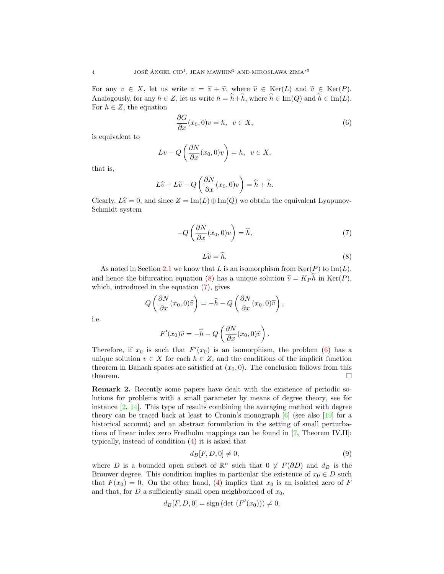For any  $v \in X$ , let us write  $v = \hat{v} + \tilde{v}$ , where  $\hat{v} \in \text{Ker}(L)$  and  $\tilde{v} \in \text{Ker}(P)$ . Analogously, for any  $h \in Z$ , let us write  $h = \hat{h} + \tilde{h}$ , where  $\hat{h} \in \text{Im}(Q)$  and  $\tilde{h} \in \text{Im}(L)$ . For  $h \in Z$ , the equation

<span id="page-3-2"></span>
$$
\frac{\partial G}{\partial x}(x_0,0)v = h, \ v \in X,\tag{6}
$$

is equivalent to

$$
Lv - Q\left(\frac{\partial N}{\partial x}(x_0, 0)v\right) = h, \ v \in X,
$$

that is,

$$
L\widehat{v} + L\widetilde{v} - Q\left(\frac{\partial N}{\partial x}(x_0, 0)v\right) = \widehat{h} + \widetilde{h}.
$$

Clearly,  $L\hat{v} = 0$ , and since  $Z = \text{Im}(L) \oplus \text{Im}(Q)$  we obtain the equivalent Lyapunov-Schmidt system

<span id="page-3-1"></span>
$$
-Q\left(\frac{\partial N}{\partial x}(x_0,0)v\right) = \widehat{h},\tag{7}
$$

<span id="page-3-0"></span>
$$
L\widetilde{v} = \widetilde{h}.\tag{8}
$$

As noted in Section [2.1](#page-1-0) we know that L is an isomorphism from  $\text{Ker}(P)$  to  $\text{Im}(L)$ , and hence the bifurcation equation [\(8\)](#page-3-0) has a unique solution  $\tilde{v} = K_P h$  in Ker(P), which introduced in the equation (7) gives which, introduced in the equation [\(7\)](#page-3-1), gives

$$
Q\left(\frac{\partial N}{\partial x}(x_0,0)\widehat{v}\right) = -\widehat{h} - Q\left(\frac{\partial N}{\partial x}(x_0,0)\widetilde{v}\right),\,
$$

i.e.

$$
F'(x_0)\widehat{v} = -\widehat{h} - Q\left(\frac{\partial N}{\partial x}(x_0, 0)\widetilde{v}\right).
$$

Therefore, if  $x_0$  is such that  $F'(x_0)$  is an isomorphism, the problem [\(6\)](#page-3-2) has a unique solution  $v \in X$  for each  $h \in Z$ , and the conditions of the implicit function theorem in Banach spaces are satisfied at  $(x_0, 0)$ . The conclusion follows from this theorem.  $\Box$ 

Remark 2. Recently some papers have dealt with the existence of periodic solutions for problems with a small parameter by means of degree theory, see for instance [\[2,](#page-14-4) [14\]](#page-14-5). This type of results combining the averaging method with degree theory can be traced back at least to Cronin's monograph  $[6]$  (see also  $[19]$  for a historical account) and an abstract formulation in the setting of small perturbations of linear index zero Fredholm mappings can be found in [\[7,](#page-14-8) Theorem IV.II]: typically, instead of condition [\(4\)](#page-2-2) it is asked that

<span id="page-3-3"></span>
$$
d_B[F, D, 0] \neq 0,\t\t(9)
$$

where D is a bounded open subset of  $\mathbb{R}^n$  such that  $0 \notin F(\partial D)$  and  $d_B$  is the Brouwer degree. This condition implies in particular the existence of  $x_0 \in D$  such that  $F(x_0) = 0$ . On the other hand, [\(4\)](#page-2-2) implies that  $x_0$  is an isolated zero of F and that, for D a sufficiently small open neighborhood of  $x_0$ ,

$$
d_B[F, D, 0] = sign (det (F'(x_0))) \neq 0.
$$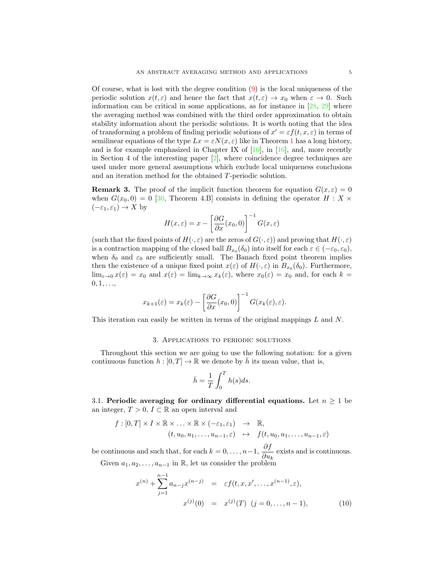Of course, what is lost with the degree condition [\(9\)](#page-3-3) is the local uniqueness of the periodic solution  $x(t, \varepsilon)$  and hence the fact that  $x(t, \varepsilon) \to x_0$  when  $\varepsilon \to 0$ . Such information can be critical in some applications, as for instance in  $[28, 29]$  $[28, 29]$  $[28, 29]$  where the averaging method was combined with the third order approximation to obtain stability information about the periodic solutions. It is worth noting that the idea of transforming a problem of finding periodic solutions of  $x' = \varepsilon f(t, x, \varepsilon)$  in terms of semilinear equations of the type  $Lx = \varepsilon N(x, \varepsilon)$  like in Theorem [1](#page-2-3) has a long history, and is for example emphasized in Chapter IX of  $[10]$ , in  $[16]$ , and, more recently in Section 4 of the interesting paper  $[2]$ , where coincidence degree techniques are used under more general assumptions which exclude local uniqueness conclusions and an iteration method for the obtained T-periodic solution.

**Remark 3.** The proof of the implicit function theorem for equation  $G(x, \varepsilon) = 0$ when  $G(x_0, 0) = 0$  [\[30,](#page-15-3) Theorem 4.B] consists in defining the operator  $H : X \times$  $(-\varepsilon_1, \varepsilon_1) \to X$  by

$$
H(x,\varepsilon) = x - \left[\frac{\partial G}{\partial x}(x_0,0)\right]^{-1} G(x,\varepsilon)
$$

(such that the fixed points of  $H(\cdot,\varepsilon)$  are the zeros of  $G(\cdot,\varepsilon)$ ) and proving that  $H(\cdot,\varepsilon)$ is a contraction mapping of the closed ball  $B_{x_0}(\delta_0)$  into itself for each  $\varepsilon \in (-\varepsilon_0, \varepsilon_0)$ , when  $\delta_0$  and  $\varepsilon_0$  are sufficiently small. The Banach fixed point theorem implies then the existence of a unique fixed point  $x(\varepsilon)$  of  $H(\cdot,\varepsilon)$  in  $B_{x_0}(\delta_0)$ . Furthermore,  $\lim_{\varepsilon\to 0} x(\varepsilon) = x_0$  and  $x(\varepsilon) = \lim_{k\to\infty} x_k(\varepsilon)$ , where  $x_0(\varepsilon) = x_0$  and, for each  $k =$  $0, 1, \ldots,$ 

$$
x_{k+1}(\varepsilon) = x_k(\varepsilon) - \left[\frac{\partial G}{\partial x}(x_0, 0)\right]^{-1} G(x_k(\varepsilon), \varepsilon).
$$

This iteration can easily be written in terms of the original mappings L and N.

### 3. Applications to periodic solutions

Throughout this section we are going to use the following notation: for a given continuous function  $h : [0, T] \to \mathbb{R}$  we denote by  $\bar{h}$  its mean value, that is,

$$
\bar{h} = \frac{1}{T} \int_0^T h(s) ds.
$$

3.1. Periodic averaging for ordinary differential equations. Let  $n \geq 1$  be an integer,  $T > 0$ ,  $I \subset \mathbb{R}$  an open interval and

$$
f: [0, T] \times I \times \mathbb{R} \times \ldots \times \mathbb{R} \times (-\varepsilon_1, \varepsilon_1) \rightarrow \mathbb{R},
$$
  

$$
(t, u_0, u_1, \ldots, u_{n-1}, \varepsilon) \mapsto f(t, u_0, u_1, \ldots, u_{n-1}, \varepsilon)
$$

be continuous and such that, for each  $k = 0, \ldots, n-1, \frac{\partial f}{\partial x}$  $rac{\partial J}{\partial u_k}$  exists and is continuous. Given  $a_1, a_2, \ldots, a_{n-1}$  in R, let us consider the problem

<span id="page-4-0"></span>
$$
x^{(n)} + \sum_{j=1}^{n-1} a_{n-j} x^{(n-j)} = \varepsilon f(t, x, x', \dots, x^{(n-1)}, \varepsilon),
$$
  

$$
x^{(j)}(0) = x^{(j)}(T) \ (j = 0, \dots, n-1),
$$
 (10)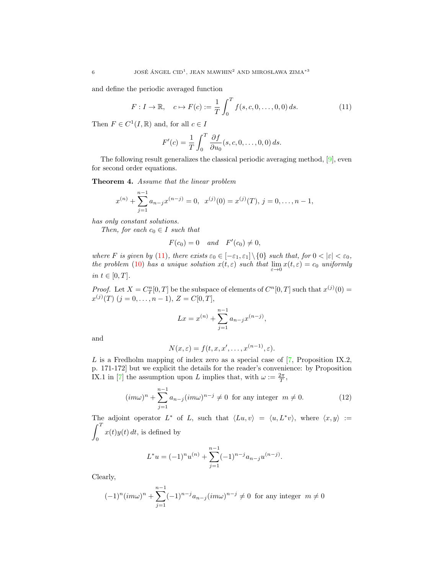and define the periodic averaged function

<span id="page-5-0"></span>
$$
F: I \to \mathbb{R}, \quad c \mapsto F(c) := \frac{1}{T} \int_0^T f(s, c, 0, \dots, 0, 0) \, ds. \tag{11}
$$

Then  $F \in C^1(I, \mathbb{R})$  and, for all  $c \in I$ 

$$
F'(c) = \frac{1}{T} \int_0^T \frac{\partial f}{\partial u_0}(s, c, 0, \dots, 0, 0) ds.
$$

The following result generalizes the classical periodic averaging method, [\[9\]](#page-14-10), even for second order equations.

<span id="page-5-2"></span>Theorem 4. Assume that the linear problem

$$
x^{(n)} + \sum_{j=1}^{n-1} a_{n-j} x^{(n-j)} = 0, \ \ x^{(j)}(0) = x^{(j)}(T), \ j = 0, \dots, n-1,
$$

has only constant solutions.

Then, for each  $c_0 \in I$  such that

$$
F(c_0) = 0 \quad and \quad F'(c_0) \neq 0,
$$

where F is given by [\(11\)](#page-5-0), there exists  $\varepsilon_0 \in [-\varepsilon_1, \varepsilon_1] \setminus \{0\}$  such that, for  $0 < |\varepsilon| < \varepsilon_0$ , the problem [\(10\)](#page-4-0) has a unique solution  $x(t, \varepsilon)$  such that  $\lim_{\varepsilon \to 0} x(t, \varepsilon) = c_0$  uniformly in  $t \in [0, T]$ .

*Proof.* Let  $X = C_T^n[0,T]$  be the subspace of elements of  $C^n[0,T]$  such that  $x^{(j)}(0) =$  $x^{(j)}(T)$   $(j = 0, \ldots, n-1), Z = C[0, T],$ 

$$
Lx = x^{(n)} + \sum_{j=1}^{n-1} a_{n-j} x^{(n-j)},
$$

and

$$
N(x,\varepsilon) = f(t,x,x',\ldots,x^{(n-1)},\varepsilon).
$$

 $L$  is a Fredholm mapping of index zero as a special case of  $[7,$  Proposition IX.2, p. 171-172] but we explicit the details for the reader's convenience: by Proposition IX.1 in [\[7\]](#page-14-8) the assumption upon L implies that, with  $\omega := \frac{2\pi}{T}$ ,

<span id="page-5-1"></span>
$$
(im\omega)^n + \sum_{j=1}^{n-1} a_{n-j} (im\omega)^{n-j} \neq 0 \text{ for any integer } m \neq 0.
$$
 (12)

The adjoint operator  $L^*$  of L, such that  $\langle Lu, v \rangle = \langle u, L^*v \rangle$ , where  $\langle x, y \rangle :=$  $\int_0^T$ 0  $x(t)y(t) dt$ , is defined by

$$
L^*u = (-1)^n u^{(n)} + \sum_{j=1}^{n-1} (-1)^{n-j} a_{n-j} u^{(n-j)}.
$$

Clearly,

$$
(-1)^{n}(im\omega)^{n} + \sum_{j=1}^{n-1} (-1)^{n-j} a_{n-j}(im\omega)^{n-j} \neq 0 \text{ for any integer } m \neq 0
$$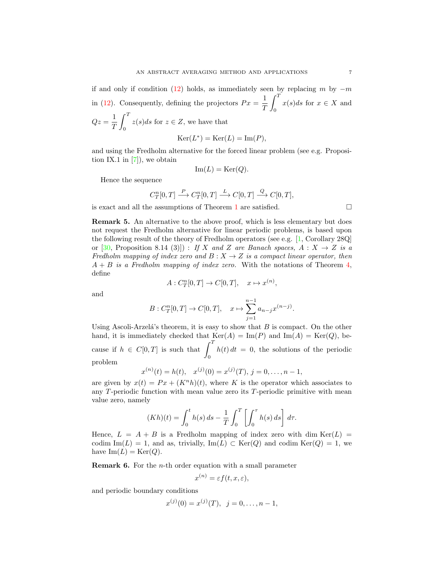if and only if condition [\(12\)](#page-5-1) holds, as immediately seen by replacing m by  $-m$ in [\(12\)](#page-5-1). Consequently, defining the projectors  $Px = \frac{1}{x}$ T  $\int_0^T$ 0  $x(s)ds$  for  $x \in X$  and  $Qz=\frac{1}{z}$ T  $\int_0^T$ 0  $z(s)ds$  for  $z \in Z$ , we have that

$$
Ker(L^*) = Ker(L) = Im(P),
$$

and using the Fredholm alternative for the forced linear problem (see e.g. Proposition IX.1 in  $[7]$ , we obtain

$$
\operatorname{Im}(L) = \operatorname{Ker}(Q).
$$

Hence the sequence

$$
C_T^n[0,T] \xrightarrow{P} C_T^n[0,T] \xrightarrow{L} C[0,T] \xrightarrow{Q} C[0,T],
$$

is exact and all the assumptions of Theorem [1](#page-2-3) are satisfied.  $\Box$ 

Remark 5. An alternative to the above proof, which is less elementary but does not request the Fredholm alternative for linear periodic problems, is based upon the following result of the theory of Fredholm operators (see e.g. [\[1,](#page-14-11) Corollary 28Q] or  $[30,$  Proposition 8.14 (3)]) : If X and Z are Banach spaces,  $A: X \rightarrow Z$  is a Fredholm mapping of index zero and  $B: X \to Z$  is a compact linear operator, then  $A + B$  is a Fredholm mapping of index zero. With the notations of Theorem [4,](#page-5-2) define

$$
A: C_T^n[0,T] \to C[0,T], \quad x \mapsto x^{(n)},
$$

and

$$
B: C_T^n[0,T] \to C[0,T], \quad x \mapsto \sum_{j=1}^{n-1} a_{n-j} x^{(n-j)}.
$$

Using Ascoli-Arzelá's theorem, it is easy to show that  $B$  is compact. On the other hand, it is immediately checked that  $\text{Ker}(A) = \text{Im}(P)$  and  $\text{Im}(A) = \text{Ker}(Q)$ , because if  $h \in C[0,T]$  is such that  $\int_0^T$ 0  $h(t) dt = 0$ , the solutions of the periodic problem

$$
x^{(n)}(t) = h(t), \quad x^{(j)}(0) = x^{(j)}(T), \quad j = 0, \ldots, n-1,
$$

are given by  $x(t) = Px + (K^n h)(t)$ , where K is the operator which associates to any T-periodic function with mean value zero its T-periodic primitive with mean value zero, namely

$$
(Kh)(t) = \int_0^t h(s) \, ds - \frac{1}{T} \int_0^T \left[ \int_0^{\tau} h(s) \, ds \right] \, d\tau.
$$

Hence,  $L = A + B$  is a Fredholm mapping of index zero with dim  $Ker(L)$ codim Im(L) = 1, and as, trivially, Im(L)  $\subset$  Ker(Q) and codim Ker(Q) = 1, we have  $\text{Im}(L) = \text{Ker}(Q)$ .

**Remark 6.** For the *n*-th order equation with a small parameter

$$
x^{(n)} = \varepsilon f(t, x, \varepsilon),
$$

and periodic boundary conditions

$$
x^{(j)}(0) = x^{(j)}(T), \ \ j = 0, \dots, n-1,
$$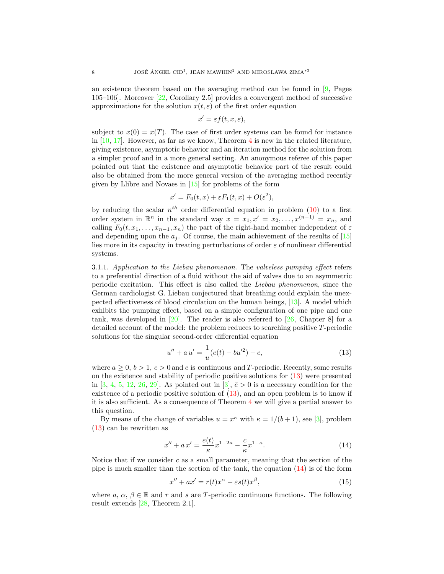an existence theorem based on the averaging method can be found in  $[9, \text{ Pages}]$  $[9, \text{ Pages}]$ 105–106]. Moreover [\[22,](#page-15-5) Corollary 2.5] provides a convergent method of successive approximations for the solution  $x(t, \varepsilon)$  of the first order equation

$$
x' = \varepsilon f(t, x, \varepsilon),
$$

subject to  $x(0) = x(T)$ . The case of first order systems can be found for instance in  $[10, 17]$  $[10, 17]$  $[10, 17]$ . However, as far as we know, Theorem [4](#page-5-2) is new in the related literature, giving existence, asymptotic behavior and an iteration method for the solution from a simpler proof and in a more general setting. An anonymous referee of this paper pointed out that the existence and asymptotic behavior part of the result could also be obtained from the more general version of the averaging method recently given by Llibre and Novaes in [\[15\]](#page-14-12) for problems of the form

$$
x' = F_0(t, x) + \varepsilon F_1(t, x) + O(\varepsilon^2),
$$

by reducing the scalar  $n^{th}$  order differential equation in problem [\(10\)](#page-4-0) to a first order system in  $\mathbb{R}^n$  in the standard way  $x = x_1, x' = x_2, \ldots, x^{(n-1)} = x_n$ , and calling  $F_0(t, x_1, \ldots, x_{n-1}, x_n)$  the part of the right-hand member independent of  $\varepsilon$ and depending upon the  $a_i$ . Of course, the main achievement of the results of [\[15\]](#page-14-12) lies more in its capacity in treating perturbations of order  $\varepsilon$  of nonlinear differential systems.

3.1.1. Application to the Liebau phenomenon. The valveless pumping effect refers to a preferential direction of a fluid without the aid of valves due to an asymmetric periodic excitation. This effect is also called the Liebau phenomenon, since the German cardiologist G. Liebau conjectured that breathing could explain the unexpected effectiveness of blood circulation on the human beings, [\[13\]](#page-14-13). A model which exhibits the pumping effect, based on a simple configuration of one pipe and one tank, was developed in  $[20]$ . The reader is also referred to  $[26$ , Chapter 8 for a detailed account of the model: the problem reduces to searching positive T-periodic solutions for the singular second-order differential equation

<span id="page-7-0"></span>
$$
u'' + a u' = \frac{1}{u}(e(t) - bu'^2) - c,\tag{13}
$$

where  $a \geq 0$ ,  $b > 1$ ,  $c > 0$  and e is continuous and T-periodic. Recently, some results on the existence and stability of periodic positive solutions for [\(13\)](#page-7-0) were presented in [\[3,](#page-14-15) [4,](#page-14-16) [5,](#page-14-17) [12,](#page-14-18) [26,](#page-15-6) [29\]](#page-15-2). As pointed out in [\[3\]](#page-14-15),  $\bar{e} > 0$  is a necessary condition for the existence of a periodic positive solution of [\(13\)](#page-7-0), and an open problem is to know if it is also sufficient. As a consequence of Theorem [4](#page-5-2) we will give a partial answer to this question.

By means of the change of variables  $u = x^{\kappa}$  with  $\kappa = 1/(b+1)$ , see [\[3\]](#page-14-15), problem [\(13\)](#page-7-0) can be rewritten as

<span id="page-7-1"></span>
$$
x'' + ax' = \frac{e(t)}{\kappa} x^{1-2\kappa} - \frac{c}{\kappa} x^{1-\kappa}.
$$
 (14)

Notice that if we consider c as a small parameter, meaning that the section of the pipe is much smaller than the section of the tank, the equation  $(14)$  is of the form

<span id="page-7-2"></span>
$$
x'' + ax' = r(t)x^{\alpha} - \varepsilon s(t)x^{\beta}, \qquad (15)
$$

where a,  $\alpha$ ,  $\beta \in \mathbb{R}$  and r and s are T-periodic continuous functions. The following result extends [\[28,](#page-15-4) Theorem 2.1].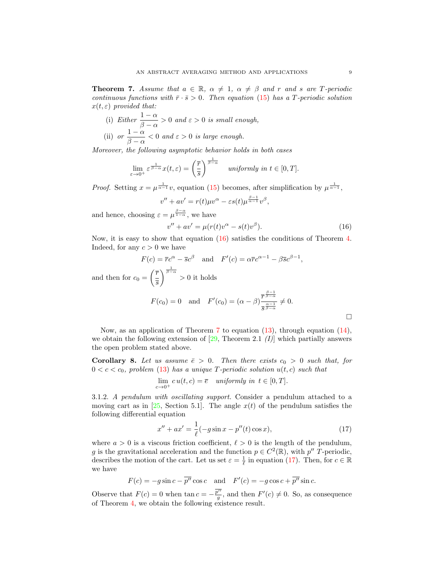<span id="page-8-1"></span>**Theorem 7.** Assume that  $a \in \mathbb{R}$ ,  $\alpha \neq 1$ ,  $\alpha \neq \beta$  and r and s are T-periodic continuous functions with  $\bar{r} \cdot \bar{s} > 0$ . Then equation [\(15\)](#page-7-2) has a T-periodic solution  $x(t, \varepsilon)$  provided that:

- (i) Either  $\frac{1-\alpha}{\beta-\alpha} > 0$  and  $\varepsilon > 0$  is small enough, (ii) or  $\frac{1-\alpha}{\alpha}$
- $\frac{1}{\beta \alpha} < 0$  and  $\varepsilon > 0$  is large enough.

Moreover, the following asymptotic behavior holds in both cases

$$
\lim_{\varepsilon \to 0^+} \varepsilon^{\frac{1}{\beta - \alpha}} x(t, \varepsilon) = \left(\frac{\overline{r}}{\overline{s}}\right)^{\frac{1}{\beta - \alpha}} \quad \text{uniformly in } t \in [0, T].
$$

*Proof.* Setting  $x = \mu^{\frac{1}{\alpha-1}}v$ , equation [\(15\)](#page-7-2) becomes, after simplification by  $\mu^{\frac{1}{\alpha-1}}$ ,

$$
v'' + av' = r(t)\mu v^{\alpha} - \varepsilon s(t)\mu^{\frac{\beta-1}{\alpha-1}}v^{\beta},
$$

and hence, choosing  $\varepsilon = \mu^{\frac{\beta-\alpha}{1-\alpha}}$ , we have

<span id="page-8-0"></span>
$$
v'' + av' = \mu(r(t)v^{\alpha} - s(t)v^{\beta}).
$$
\n(16)

Now, it is easy to show that equation [\(16\)](#page-8-0) satisfies the conditions of Theorem [4.](#page-5-2) Indeed, for any  $c > 0$  we have

$$
F(c) = \overline{r}c^{\alpha} - \overline{s}c^{\beta} \quad \text{and} \quad F'(c) = \alpha \overline{r}c^{\alpha-1} - \beta \overline{s}c^{\beta-1},
$$
  
and then for  $c_0 = \left(\frac{\overline{r}}{\overline{s}}\right)^{\frac{1}{\beta-\alpha}} > 0$  it holds  

$$
F(c_0) = 0 \quad \text{and} \quad F'(c_0) = (\alpha - \beta)\frac{\overline{r}^{\frac{\beta-1}{\beta-\alpha}}}{\overline{s}^{\frac{\alpha-1}{\beta-\alpha}}} \neq 0.
$$

Now, as an application of Theorem [7](#page-8-1) to equation  $(13)$ , through equation  $(14)$ , we obtain the following extension of [\[29,](#page-15-2) Theorem 2.1  $(I)$ ] which partially answers the open problem stated above.

**Corollary 8.** Let us assume  $\bar{e} > 0$ . Then there exists  $c_0 > 0$  such that, for  $0 < c < c_0$ , problem [\(13\)](#page-7-0) has a unique T-periodic solution  $u(t, c)$  such that

$$
\lim_{c\to 0^+}c\,u(t,c)=\overline{e}\quad \textit{uniformly in}\;\; t\in[0,T].
$$

3.1.2. A pendulum with oscillating support. Consider a pendulum attached to a moving cart as in [\[25,](#page-15-7) Section 5.1]. The angle  $x(t)$  of the pendulum satisfies the following differential equation

<span id="page-8-2"></span>
$$
x'' + ax' = \frac{1}{\ell}(-g\sin x - p''(t)\cos x),\tag{17}
$$

where  $a > 0$  is a viscous friction coefficient,  $\ell > 0$  is the length of the pendulum, g is the gravitational acceleration and the function  $p \in C^2(\mathbb{R})$ , with  $p''$  T-periodic, describes the motion of the cart. Let us set  $\varepsilon = \frac{1}{\ell}$  in equation [\(17\)](#page-8-2). Then, for  $c \in \mathbb{R}$ we have

$$
F(c) = -g\sin c - \overline{p''}\cos c \quad \text{and} \quad F'(c) = -g\cos c + \overline{p''}\sin c.
$$

Observe that  $F(c) = 0$  when  $\tan c = -\frac{p^{\prime\prime}}{g}$ , and then  $F'(c) \neq 0$ . So, as consequence of Theorem [4,](#page-5-2) we obtain the following existence result.

 $\Box$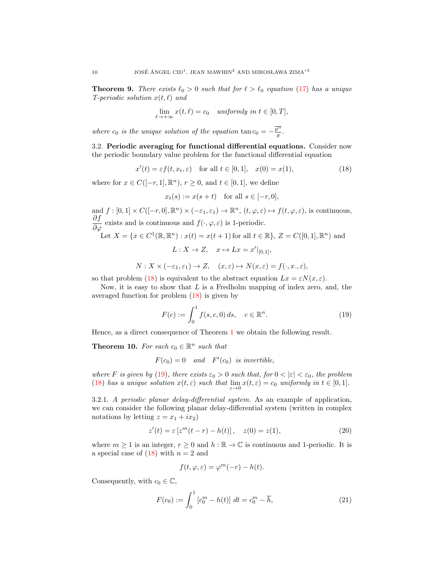**Theorem 9.** There exists  $\ell_0 > 0$  such that for  $\ell > \ell_0$  equation [\(17\)](#page-8-2) has a unique T-periodic solution  $x(t, \ell)$  and

$$
\lim_{\ell \to +\infty} x(t,\ell) = c_0 \quad \text{uniformly in } t \in [0,T],
$$

where  $c_0$  is the unique solution of the equation  $\tan c_0 = -\frac{\overline{p''}}{g}$ .

3.2. Periodic averaging for functional differential equations. Consider now the periodic boundary value problem for the functional differential equation

<span id="page-9-0"></span>
$$
x'(t) = \varepsilon f(t, x_t, \varepsilon) \quad \text{for all } t \in [0, 1], \quad x(0) = x(1), \tag{18}
$$

where for  $x \in C([-r, 1], \mathbb{R}^n)$ ,  $r \geq 0$ , and  $t \in [0, 1]$ , we define

$$
x_t(s) := x(s+t) \quad \text{for all } s \in [-r, 0],
$$

and  $f: [0,1] \times C([-r,0], \mathbb{R}^n) \times (-\varepsilon_1, \varepsilon_1) \to \mathbb{R}^n$ ,  $(t, \varphi, \varepsilon) \mapsto f(t, \varphi, \varepsilon)$ , is continuous,  $\frac{\partial f}{\partial \varphi}$  exists and is continuous and  $f(\cdot, \varphi, \varepsilon)$  is 1-periodic. Let  $X = \{x \in C^1(\mathbb{R}, \mathbb{R}^n) : x(t) = x(t+1) \text{ for all } t \in \mathbb{R}\}, Z = C([0, 1], \mathbb{R}^n)$  and  $L: X \to Z$ ,  $x \mapsto Lx = x' \vert_{[0,1]},$ 

$$
N: X \times (-\varepsilon_1, \varepsilon_1) \to Z, \quad (x, \varepsilon) \mapsto N(x, \varepsilon) = f(\cdot, x, \varepsilon),
$$

so that problem [\(18\)](#page-9-0) is equivalent to the abstract equation  $Lx = \varepsilon N(x, \varepsilon)$ .

Now, it is easy to show that  $L$  is a Fredholm mapping of index zero, and, the averaged function for problem [\(18\)](#page-9-0) is given by

<span id="page-9-1"></span>
$$
F(c) := \int_0^1 f(s, c, 0) \, ds, \quad c \in \mathbb{R}^n. \tag{19}
$$

Hence, as a direct consequence of Theorem [1](#page-2-3) we obtain the following result.

<span id="page-9-4"></span>**Theorem 10.** For each  $c_0 \in \mathbb{R}^n$  such that

 $F(c_0) = 0$  and  $F'(c_0)$  is invertible,

where F is given by [\(19\)](#page-9-1), there exists  $\varepsilon_0 > 0$  such that, for  $0 < |\varepsilon| < \varepsilon_0$ , the problem [\(18\)](#page-9-0) has a unique solution  $x(t, \varepsilon)$  such that  $\lim_{\varepsilon \to 0} x(t, \varepsilon) = c_0$  uniformly in  $t \in [0, 1]$ .

3.2.1. A periodic planar delay-differential system. As an example of application, we can consider the following planar delay-differential system (written in complex notations by letting  $z = x_1 + ix_2$ 

<span id="page-9-2"></span>
$$
z'(t) = \varepsilon \left[ z^m(t - r) - h(t) \right], \quad z(0) = z(1), \tag{20}
$$

where  $m \geq 1$  is an integer,  $r \geq 0$  and  $h : \mathbb{R} \to \mathbb{C}$  is continuous and 1-periodic. It is a special case of  $(18)$  with  $n = 2$  and

$$
f(t, \varphi, \varepsilon) = \varphi^m(-r) - h(t).
$$

Consequently, with  $c_0 \in \mathbb{C}$ ,

<span id="page-9-3"></span>
$$
F(c_0) := \int_0^1 \left[ c_0^m - h(t) \right] dt = c_0^m - \overline{h}, \tag{21}
$$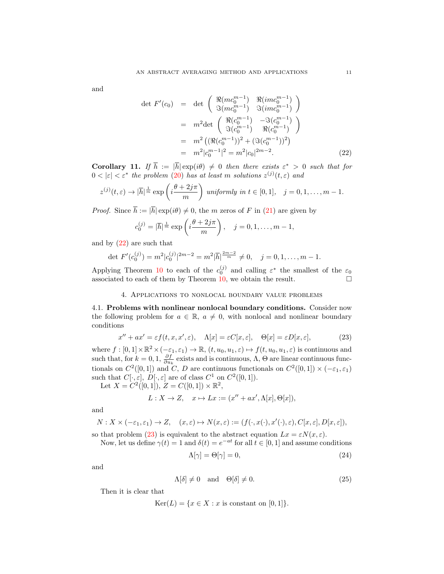and

<span id="page-10-0"></span>
$$
\det F'(c_0) = \det \begin{pmatrix} \Re(m c_0^{m-1}) & \Re(imc_0^{m-1}) \\ \Im(m c_0^{m-1}) & \Im(imc_0^{m-1}) \end{pmatrix}
$$
  
\n
$$
= m^2 \det \begin{pmatrix} \Re(c_0^{m-1}) & -\Im(c_0^{m-1}) \\ \Im(c_0^{m-1}) & \Re(c_0^{m-1}) \end{pmatrix}
$$
  
\n
$$
= m^2 \left( (\Re(c_0^{m-1}))^2 + (\Im(c_0^{m-1}))^2 \right)
$$
  
\n
$$
= m^2 |c_0^{m-1}|^2 = m^2 |c_0|^{2m-2}.
$$
 (22)

**Corollary 11.** If  $\overline{h} := |\overline{h}| \exp(i\theta) \neq 0$  then there exists  $\varepsilon^* > 0$  such that for  $0 < |\varepsilon| < \varepsilon^*$  the problem [\(20\)](#page-9-2) has at least m solutions  $z^{(j)}(t, \varepsilon)$  and

$$
z^{(j)}(t,\varepsilon) \to |\overline{h}|^{\frac{1}{m}} \exp\left(i\frac{\theta+2j\pi}{m}\right) \text{ uniformly in } t \in [0,1], \quad j=0,1,\ldots,m-1.
$$

*Proof.* Since  $\overline{h} := |\overline{h}| \exp(i\theta) \neq 0$ , the m zeros of F in [\(21\)](#page-9-3) are given by

$$
c_0^{(j)} = |\overline{h}|^{\frac{1}{m}} \exp\left(i\frac{\theta + 2j\pi}{m}\right), \quad j = 0, 1, \dots, m - 1,
$$

and by  $(22)$  are such that

$$
\det F'(c_0^{(j)}) = m^2 |c_0^{(j)}|^{2m-2} = m^2 |\overline{h}|^{\frac{2m-2}{m}} \neq 0, \quad j = 0, 1, \dots, m-1.
$$

Applying Theorem [10](#page-9-4) to each of the  $c_0^{(j)}$  and calling  $\varepsilon^*$  the smallest of the  $\varepsilon_0$ associated to each of them by Theorem [10,](#page-9-4) we obtain the result.  $\Box$ 

# 4. Applications to nonlocal boundary value problems

4.1. Problems with nonlinear nonlocal boundary conditions. Consider now the following problem for  $a \in \mathbb{R}$ ,  $a \neq 0$ , with nonlocal and nonlinear boundary conditions

<span id="page-10-1"></span>
$$
x'' + ax' = \varepsilon f(t, x, x', \varepsilon), \quad \Lambda[x] = \varepsilon C[x, \varepsilon], \quad \Theta[x] = \varepsilon D[x, \varepsilon], \tag{23}
$$

where  $f:[0,1]\times\mathbb{R}^2\times(-\varepsilon_1,\varepsilon_1)\to\mathbb{R}, (t,u_0,u_1,\varepsilon)\mapsto f(t,u_0,u_1,\varepsilon)$  is continuous and such that, for  $k = 0, 1, \frac{\partial f}{\partial u_k}$  exists and is continuous,  $\Lambda$ ,  $\Theta$  are linear continuous functionals on  $C^2([0,1])$  and C, D are continuous functionals on  $C^2([0,1]) \times (-\varepsilon_1, \varepsilon_1)$ such that  $C[\cdot, \varepsilon], D[\cdot, \varepsilon]$  are of class  $C^1$  on  $C^2([0, 1]).$ 

Let  $X = C^2([0,1]), Z = C([0,1]) \times \mathbb{R}^2,$ 

$$
L:X\to Z,\quad x\mapsto Lx:=(x''+ax',\Lambda[x],\Theta[x]),
$$

and

$$
N: X \times (-\varepsilon_1, \varepsilon_1) \to Z, \quad (x, \varepsilon) \mapsto N(x, \varepsilon) := (f(\cdot, x(\cdot), x'(\cdot), \varepsilon), C[x, \varepsilon], D[x, \varepsilon]),
$$

so that problem [\(23\)](#page-10-1) is equivalent to the abstract equation  $Lx = \varepsilon N(x, \varepsilon)$ . Now, let us define  $\gamma(t) = 1$  and  $\delta(t) = e^{-at}$  for all  $t \in [0, 1]$  and assume conditions

$$
\text{Re } \gamma(t) = 1 \text{ and } \theta(t) = e \qquad \text{for all } t \in [0, 1] \text{ and assume continuous}
$$

<span id="page-10-2"></span>
$$
\Lambda[\gamma] = \Theta[\gamma] = 0,\tag{24}
$$

and

<span id="page-10-3"></span>
$$
\Lambda[\delta] \neq 0 \quad \text{and} \quad \Theta[\delta] \neq 0. \tag{25}
$$

Then it is clear that

 $Ker(L) = \{x \in X : x \text{ is constant on } [0,1]\}.$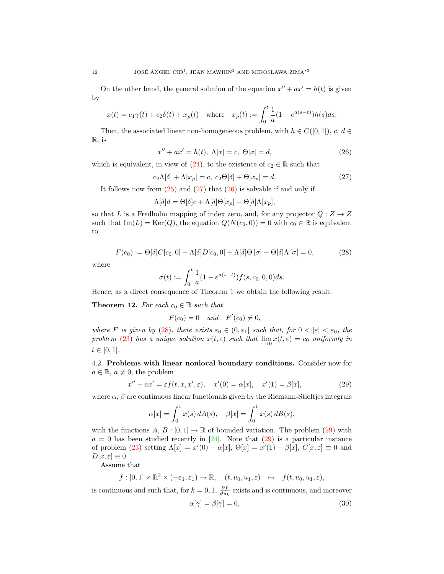On the other hand, the general solution of the equation  $x'' + ax' = h(t)$  is given by

$$
x(t) = c_1 \gamma(t) + c_2 \delta(t) + x_p(t) \quad \text{where} \quad x_p(t) := \int_0^t \frac{1}{a} (1 - e^{a(s-t)}) h(s) ds.
$$

Then, the associated linear non-homogeneous problem, with  $h \in C([0,1])$ , c,  $d \in$ R, is

<span id="page-11-1"></span>
$$
x'' + ax' = h(t), \ \Lambda[x] = c, \ \Theta[x] = d,\tag{26}
$$

which is equivalent, in view of [\(24\)](#page-10-2), to the existence of  $c_2 \in \mathbb{R}$  such that

<span id="page-11-0"></span>
$$
c_2\Lambda[\delta] + \Lambda[x_p] = c, \ c_2\Theta[\delta] + \Theta[x_p] = d. \tag{27}
$$

It follows now from  $(25)$  and  $(27)$  that  $(26)$  is solvable if and only if

$$
\Lambda[\delta]d = \Theta[\delta]c + \Lambda[\delta]\Theta[x_p] - \Theta[\delta]\Lambda[x_p],
$$

so that L is a Fredholm mapping of index zero, and, for any projector  $Q: Z \to Z$ such that  $\text{Im}(L) = \text{Ker}(Q)$ , the equation  $Q(N(c_0, 0)) = 0$  with  $c_0 \in \mathbb{R}$  is equivalent to

<span id="page-11-2"></span>
$$
F(c_0) := \Theta[\delta]C[c_0, 0] - \Lambda[\delta]D[c_0, 0] + \Lambda[\delta]\Theta[\sigma] - \Theta[\delta]\Lambda[\sigma] = 0,
$$
\n(28)

where

$$
\sigma(t) := \int_0^t \frac{1}{a} (1 - e^{a(s-t)}) f(s, c_0, 0, 0) ds.
$$

Hence, as a direct consequence of Theorem [1](#page-2-3) we obtain the following result.

**Theorem 12.** For each  $c_0 \in \mathbb{R}$  such that

$$
F(c_0) = 0 \quad and \quad F'(c_0) \neq 0,
$$

where F is given by [\(28\)](#page-11-2), there exists  $\varepsilon_0 \in (0, \varepsilon_1]$  such that, for  $0 < |\varepsilon| < \varepsilon_0$ , the problem [\(23\)](#page-10-1) has a unique solution  $x(t, \varepsilon)$  such that  $\lim_{\varepsilon \to 0} x(t, \varepsilon) = c_0$  uniformly in  $t \in [0, 1].$ 

4.2. Problems with linear nonlocal boundary conditions. Consider now for  $a \in \mathbb{R}, a \neq 0$ , the problem

<span id="page-11-3"></span>
$$
x'' + ax' = \varepsilon f(t, x, x', \varepsilon), \quad x'(0) = \alpha[x], \quad x'(1) = \beta[x], \tag{29}
$$

where  $\alpha$ ,  $\beta$  are continuous linear functionals given by the Riemann-Stieltjes integrals

$$
\alpha[x] = \int_0^1 x(s) dA(s), \quad \beta[x] = \int_0^1 x(s) dB(s),
$$

with the functions  $A, B : [0,1] \to \mathbb{R}$  of bounded variation. The problem [\(29\)](#page-11-3) with  $a = 0$  has been studied recently in [\[24\]](#page-15-8). Note that [\(29\)](#page-11-3) is a particular instance of problem [\(23\)](#page-10-1) setting  $\Lambda[x] = x'(0) - \alpha[x]$ ,  $\Theta[x] = x'(1) - \beta[x]$ ,  $C[x, \varepsilon] \equiv 0$  and  $D[x,\varepsilon]\equiv 0.$ 

Assume that

$$
f: [0,1] \times \mathbb{R}^2 \times (-\varepsilon_1, \varepsilon_1) \to \mathbb{R}, \quad (t, u_0, u_1, \varepsilon) \mapsto f(t, u_0, u_1, \varepsilon),
$$

is continuous and such that, for  $k = 0, 1, \frac{\partial f}{\partial u_k}$  exists and is continuous, and moreover

<span id="page-11-4"></span>
$$
\alpha[\gamma] = \beta[\gamma] = 0,\tag{30}
$$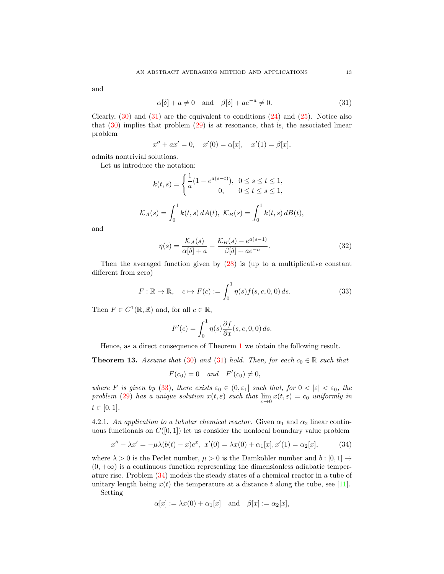and

<span id="page-12-0"></span>
$$
\alpha[\delta] + a \neq 0 \quad \text{and} \quad \beta[\delta] + ae^{-a} \neq 0. \tag{31}
$$

Clearly,  $(30)$  and  $(31)$  are the equivalent to conditions  $(24)$  and  $(25)$ . Notice also that  $(30)$  implies that problem  $(29)$  is at resonance, that is, the associated linear problem

$$
x'' + ax' = 0
$$
,  $x'(0) = \alpha[x]$ ,  $x'(1) = \beta[x]$ ,

admits nontrivial solutions.

Let us introduce the notation:

$$
k(t,s) = \begin{cases} \frac{1}{a}(1 - e^{a(s-t)}), & 0 \le s \le t \le 1, \\ 0, & 0 \le t \le s \le 1, \end{cases}
$$

$$
\mathcal{K}_A(s) = \int_0^1 k(t,s) dA(t), \ \mathcal{K}_B(s) = \int_0^1 k(t,s) dB(t),
$$

and

<span id="page-12-3"></span>
$$
\eta(s) = \frac{\mathcal{K}_A(s)}{\alpha[\delta] + a} - \frac{\mathcal{K}_B(s) - e^{a(s-1)}}{\beta[\delta] + ae^{-a}}.\tag{32}
$$

Then the averaged function given by [\(28\)](#page-11-2) is (up to a multiplicative constant different from zero)

<span id="page-12-1"></span>
$$
F: \mathbb{R} \to \mathbb{R}, \quad c \mapsto F(c) := \int_0^1 \eta(s) f(s, c, 0, 0) ds. \tag{33}
$$

Then  $F \in C^1(\mathbb{R}, \mathbb{R})$  and, for all  $c \in \mathbb{R}$ ,

$$
F'(c) = \int_0^1 \eta(s) \frac{\partial f}{\partial x}(s, c, 0, 0) \, ds.
$$

Hence, as a direct consequence of Theorem [1](#page-2-3) we obtain the following result.

<span id="page-12-4"></span>**Theorem 13.** Assume that [\(30\)](#page-11-4) and [\(31\)](#page-12-0) hold. Then, for each  $c_0 \in \mathbb{R}$  such that

 $F(c_0) = 0$  and  $F'(c_0) \neq 0$ ,

where F is given by [\(33\)](#page-12-1), there exists  $\varepsilon_0 \in (0, \varepsilon_1]$  such that, for  $0 < |\varepsilon| < \varepsilon_0$ , the problem [\(29\)](#page-11-3) has a unique solution  $x(t, \varepsilon)$  such that  $\lim_{\varepsilon \to 0} x(t, \varepsilon) = c_0$  uniformly in  $t \in [0, 1].$ 

4.2.1. An application to a tubular chemical reactor. Given  $\alpha_1$  and  $\alpha_2$  linear continuous functionals on  $C([0, 1])$  let us consider the nonlocal boundary value problem

<span id="page-12-2"></span>
$$
x'' - \lambda x' = -\mu \lambda (b(t) - x)e^x, \ x'(0) = \lambda x(0) + \alpha_1[x], x'(1) = \alpha_2[x], \tag{34}
$$

where  $\lambda > 0$  is the Peclet number,  $\mu > 0$  is the Damkohler number and  $b : [0,1] \rightarrow$  $(0, +\infty)$  is a continuous function representing the dimensionless adiabatic temperature rise. Problem [\(34\)](#page-12-2) models the steady states of a chemical reactor in a tube of unitary length being  $x(t)$  the temperature at a distance t along the tube, see [\[11\]](#page-14-19).

Setting

$$
\alpha[x] := \lambda x(0) + \alpha_1[x] \quad \text{and} \quad \beta[x] := \alpha_2[x],
$$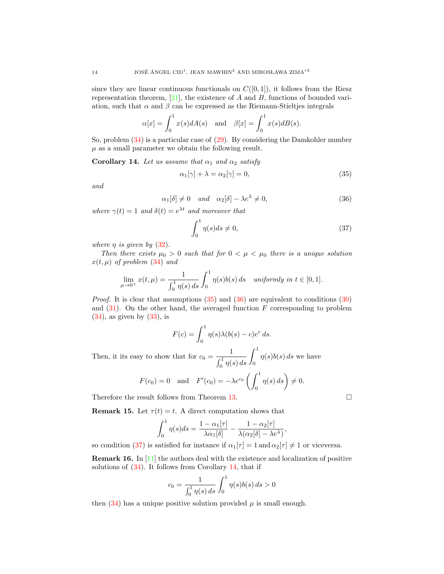since they are linear continuous functionals on  $C([0,1])$ , it follows from the Riesz representation theorem,  $[21]$ , the existence of A and B, functions of bounded variation, such that  $\alpha$  and  $\beta$  can be expressed as the Riemann-Stieltjes integrals

$$
\alpha[x] = \int_0^1 x(s) dA(s) \quad \text{and} \quad \beta[x] = \int_0^1 x(s) dB(s).
$$

So, problem [\(34\)](#page-12-2) is a particular case of [\(29\)](#page-11-3). By considering the Damkohler number  $\mu$  as a small parameter we obtain the following result.

<span id="page-13-3"></span>Corollary 14. Let us assume that  $\alpha_1$  and  $\alpha_2$  satisfy

<span id="page-13-0"></span>
$$
\alpha_1[\gamma] + \lambda = \alpha_2[\gamma] = 0,\tag{35}
$$

and

<span id="page-13-1"></span>
$$
\alpha_1[\delta] \neq 0 \quad and \quad \alpha_2[\delta] - \lambda e^{\lambda} \neq 0,
$$
\n(36)

where  $\gamma(t) = 1$  and  $\delta(t) = e^{\lambda t}$  and moreover that

<span id="page-13-2"></span>
$$
\int_0^1 \eta(s)ds \neq 0,\tag{37}
$$

where  $\eta$  is given by  $(32)$ .

Then there exists  $\mu_0 > 0$  such that for  $0 < \mu < \mu_0$  there is a unique solution  $x(t, \mu)$  of problem [\(34\)](#page-12-2) and

$$
\lim_{\mu \to 0^+} x(t, \mu) = \frac{1}{\int_0^1 \eta(s) \, ds} \int_0^1 \eta(s) b(s) \, ds \quad \text{uniformly in } t \in [0, 1].
$$

*Proof.* It is clear that assumptions  $(35)$  and  $(36)$  are equivalent to conditions  $(30)$ and  $(31)$ . On the other hand, the averaged function F corresponding to problem  $(34)$ , as given by  $(33)$ , is

$$
F(c) = \int_0^1 \eta(s)\lambda(b(s) - c)e^c ds.
$$

Then, it its easy to show that for  $c_0 = \frac{1}{c_0^2}$  $\int_0^1 \eta(s) ds$  $\int_0^1$ 0  $\eta(s)b(s) ds$  we have

$$
F(c_0) = 0
$$
 and  $F'(c_0) = -\lambda e^{c_0} \left( \int_0^1 \eta(s) ds \right) \neq 0.$ 

Therefore the result follows from Theorem [13.](#page-12-4)

**Remark 15.** Let  $\tau(t) = t$ . A direct computation shows that

$$
\int_0^1 \eta(s)ds = \frac{1 - \alpha_1[\tau]}{\lambda \alpha_1[\delta]} - \frac{1 - \alpha_2[\tau]}{\lambda(\alpha_2[\delta] - \lambda e^{\lambda})},
$$

so condition [\(37\)](#page-13-2) is satisfied for instance if  $\alpha_1[\tau] = 1$  and  $\alpha_2[\tau] \neq 1$  or viceversa.

Remark 16. In [\[11\]](#page-14-19) the authors deal with the existence and localization of positive solutions of  $(34)$ . It follows from Corollary [14,](#page-13-3) that if

$$
c_0 = \frac{1}{\int_0^1 \eta(s) \, ds} \int_0^1 \eta(s) b(s) \, ds > 0
$$

then  $(34)$  has a unique positive solution provided  $\mu$  is small enough.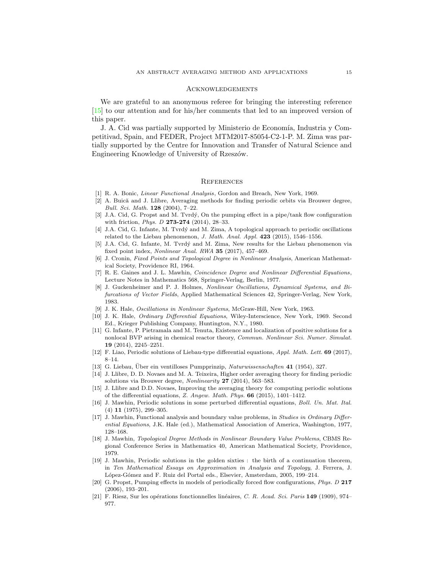#### Acknowledgements

We are grateful to an anonymous referee for bringing the interesting reference [\[15\]](#page-14-12) to our attention and for his/her comments that led to an improved version of this paper.

J. A. Cid was partially supported by Ministerio de Economía, Industria y Competitivad, Spain, and FEDER, Project MTM2017-85054-C2-1-P. M. Zima was partially supported by the Centre for Innovation and Transfer of Natural Science and Engineering Knowledge of University of Rzeszów.

#### **REFERENCES**

- <span id="page-14-11"></span>[1] R. A. Bonic, Linear Functional Analysis, Gordon and Breach, New York, 1969.
- <span id="page-14-4"></span>[2] A. Buică and J. Llibre, Averaging methods for finding periodic orbits via Brouwer degree, Bull. Sci. Math. 128 (2004), 7–22.
- <span id="page-14-15"></span>[3] J.A. Cid, G. Propst and M. Tvrdý, On the pumping effect in a pipe/tank flow configuration with friction, *Phys. D* 273-274 (2014), 28-33.
- <span id="page-14-16"></span>[4] J.A. Cid, G. Infante, M. Tvrdý and M. Zima, A topological approach to periodic oscillations related to the Liebau phenomenon, J. Math. Anal. Appl.  $423$  (2015), 1546–1556.
- <span id="page-14-17"></span>[5] J.A. Cid, G. Infante, M. Tvrdý and M. Zima, New results for the Liebau phenomenon via fixed point index, Nonlinear Anal. RWA 35 (2017), 457–469.
- <span id="page-14-6"></span>[6] J. Cronin, Fixed Points and Topological Degree in Nonlinear Analysis, American Mathematical Society, Providence RI, 1964.
- <span id="page-14-8"></span>[7] R. E. Gaines and J. L. Mawhin, Coincidence Degree and Nonlinear Differential Equations, Lecture Notes in Mathematics 568, Springer-Verlag, Berlin, 1977.
- <span id="page-14-0"></span>[8] J. Guckenheimer and P. J. Holmes, Nonlinear Oscillations, Dynamical Systems, and Bifurcations of Vector Fields, Applied Mathematical Sciences 42, Springer-Verlag, New York, 1983.
- <span id="page-14-10"></span>[9] J. K. Hale, Oscillations in Nonlinear Systems, McGraw-Hill, New York, 1963.
- <span id="page-14-1"></span>[10] J. K. Hale, Ordinary Differential Equations, Wiley-Interscience, New York, 1969. Second Ed., Krieger Publishing Company, Huntington, N.Y., 1980.
- <span id="page-14-19"></span>[11] G. Infante, P. Pietramala and M. Tenuta, Existence and localization of positive solutions for a nonlocal BVP arising in chemical reactor theory, Commun. Nonlinear Sci. Numer. Simulat. 19 (2014), 2245–2251.
- <span id="page-14-18"></span>[12] F. Liao, Periodic solutions of Liebau-type differential equations, Appl. Math. Lett. 69 (2017), 8–14.
- <span id="page-14-13"></span>[13] G. Liebau, Über ein ventilloses Pumpprinzip, Naturwissenschaften  $41$  (1954), 327.
- <span id="page-14-5"></span>[14] J. Llibre, D. D. Novaes and M. A. Teixeira, Higher order averaging theory for finding periodic solutions via Brouwer degree, Nonlinearity  $27$  (2014), 563-583.
- <span id="page-14-12"></span>[15] J. Llibre and D.D. Novaes, Improving the averaging theory for computing periodic solutions of the differential equations, Z. Angew. Math. Phys. 66 (2015), 1401–1412.
- <span id="page-14-9"></span>[16] J. Mawhin, Periodic solutions in some perturbed differential equations, Boll. Un. Mat. Ital. (4) 11 (1975), 299–305.
- <span id="page-14-2"></span>[17] J. Mawhin, Functional analysis and boundary value problems, in Studies in Ordinary Differential Equations, J.K. Hale (ed.), Mathematical Association of America, Washington, 1977, 128–168.
- <span id="page-14-3"></span>[18] J. Mawhin, Topological Degree Methods in Nonlinear Boundary Value Problems, CBMS Regional Conference Series in Mathematics 40, American Mathematical Society, Providence, 1979.
- <span id="page-14-7"></span>[19] J. Mawhin, Periodic solutions in the golden sixties : the birth of a continuation theorem, in Ten Mathematical Essays on Approximation in Analysis and Topology, J. Ferrera, J. López-Gómez and F. Ruiz del Portal eds., Elsevier, Amsterdam, 2005, 199-214.
- <span id="page-14-14"></span>[20] G. Propst, Pumping effects in models of periodically forced flow configurations, Phys. D 217 (2006), 193–201.
- <span id="page-14-20"></span>[21] F. Riesz, Sur les opérations fonctionnelles linéaires, C. R. Acad. Sci. Paris 149 (1909), 974– 977.